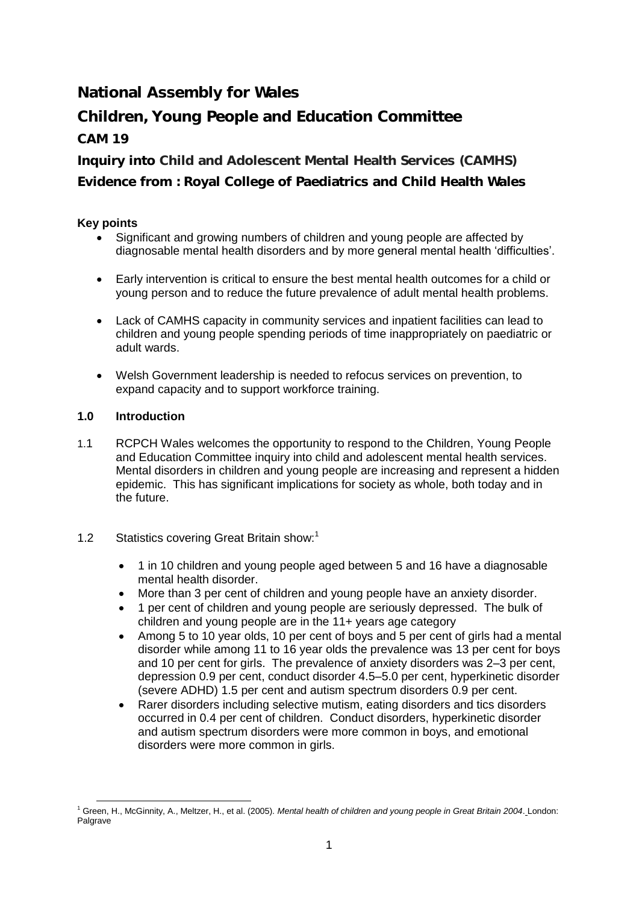**National Assembly for Wales**

**Children, Young People and Education Committee CAM 19**

**Inquiry into Child and Adolescent Mental Health Services** *(***CAMHS***)* **Evidence from : Royal College of Paediatrics and Child Health Wales**

# **Key points**

- Significant and growing numbers of children and young people are affected by diagnosable mental health disorders and by more general mental health "difficulties".
- Early intervention is critical to ensure the best mental health outcomes for a child or young person and to reduce the future prevalence of adult mental health problems.
- Lack of CAMHS capacity in community services and inpatient facilities can lead to children and young people spending periods of time inappropriately on paediatric or adult wards.
- Welsh Government leadership is needed to refocus services on prevention, to expand capacity and to support workforce training.

# **1.0 Introduction**

- 1.1 RCPCH Wales welcomes the opportunity to respond to the Children, Young People and Education Committee inquiry into child and adolescent mental health services. Mental disorders in children and young people are increasing and represent a hidden epidemic. This has significant implications for society as whole, both today and in the future.
- 1.2 Statistics covering Great Britain show:<sup>1</sup>
	- 1 in 10 children and young people aged between 5 and 16 have a diagnosable mental health disorder.
	- More than 3 per cent of children and young people have an anxiety disorder.
	- 1 per cent of children and young people are seriously depressed. The bulk of children and young people are in the 11+ years age category
	- Among 5 to 10 year olds, 10 per cent of boys and 5 per cent of girls had a mental disorder while among 11 to 16 year olds the prevalence was 13 per cent for boys and 10 per cent for girls. The prevalence of anxiety disorders was 2–3 per cent, depression 0.9 per cent, conduct disorder 4.5–5.0 per cent, hyperkinetic disorder (severe ADHD) 1.5 per cent and autism spectrum disorders 0.9 per cent.
	- Rarer disorders including selective mutism, eating disorders and tics disorders occurred in 0.4 per cent of children. Conduct disorders, hyperkinetic disorder and autism spectrum disorders were more common in boys, and emotional disorders were more common in girls.

 $\overline{a}$ <sup>1</sup> Green, H., McGinnity, A., Meltzer, H., et al. (2005). *[Mental health of children and young people in Great Britain 2004](http://www.hscic.gov.uk/pubs/mentalhealth04)*. London: Palgrave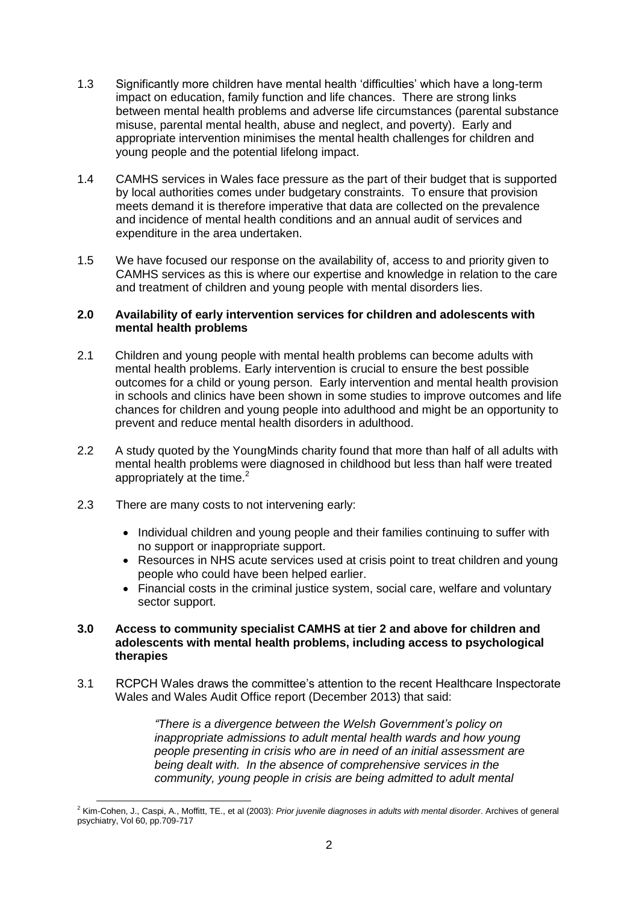- 1.3 Significantly more children have mental health "difficulties" which have a long-term impact on education, family function and life chances. There are strong links between mental health problems and adverse life circumstances (parental substance misuse, parental mental health, abuse and neglect, and poverty). Early and appropriate intervention minimises the mental health challenges for children and young people and the potential lifelong impact.
- 1.4 CAMHS services in Wales face pressure as the part of their budget that is supported by local authorities comes under budgetary constraints. To ensure that provision meets demand it is therefore imperative that data are collected on the prevalence and incidence of mental health conditions and an annual audit of services and expenditure in the area undertaken.
- 1.5 We have focused our response on the availability of, access to and priority given to CAMHS services as this is where our expertise and knowledge in relation to the care and treatment of children and young people with mental disorders lies.

#### **2.0 Availability of early intervention services for children and adolescents with mental health problems**

- 2.1 Children and young people with mental health problems can become adults with mental health problems. Early intervention is crucial to ensure the best possible outcomes for a child or young person. Early intervention and mental health provision in schools and clinics have been shown in some studies to improve outcomes and life chances for children and young people into adulthood and might be an opportunity to prevent and reduce mental health disorders in adulthood.
- 2.2 A study quoted by the YoungMinds charity found that more than half of all adults with mental health problems were diagnosed in childhood but less than half were treated appropriately at the time. $2$
- 2.3 There are many costs to not intervening early:
	- Individual children and young people and their families continuing to suffer with no support or inappropriate support.
	- Resources in NHS acute services used at crisis point to treat children and young people who could have been helped earlier.
	- Financial costs in the criminal justice system, social care, welfare and voluntary sector support.

#### **3.0 Access to community specialist CAMHS at tier 2 and above for children and adolescents with mental health problems, including access to psychological therapies**

3.1 RCPCH Wales draws the committee"s attention to the recent Healthcare Inspectorate Wales and Wales Audit Office report (December 2013) that said:

> *"There is a divergence between the Welsh Government's policy on inappropriate admissions to adult mental health wards and how young people presenting in crisis who are in need of an initial assessment are being dealt with. In the absence of comprehensive services in the community, young people in crisis are being admitted to adult mental*

 $\overline{a}$ <sup>2</sup> Kim-Cohen, J., Caspi, A., Moffitt, TE., et al (2003): *Prior juvenile diagnoses in adults with mental disorder*. Archives of general psychiatry, Vol 60, pp.709-717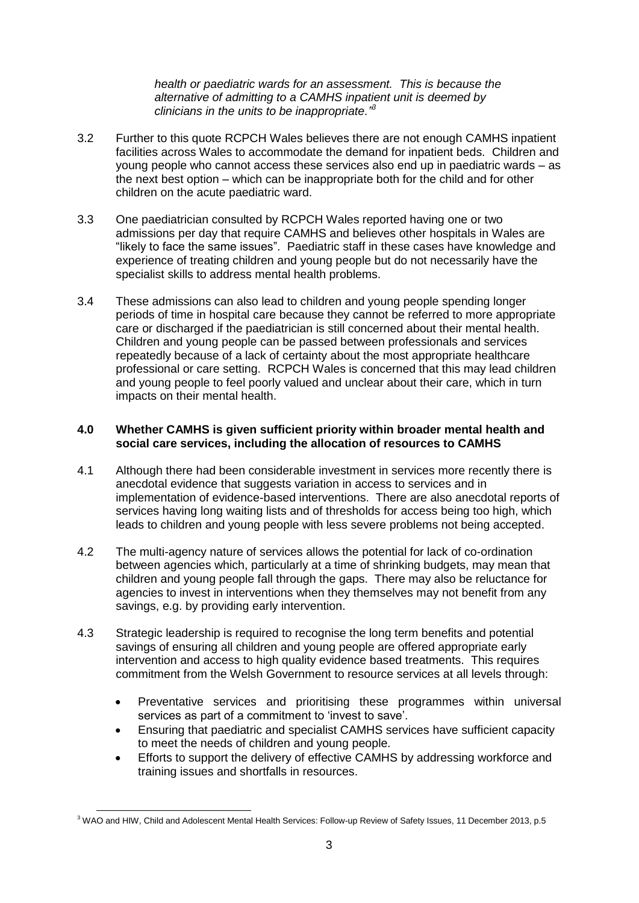*health or paediatric wards for an assessment. This is because the alternative of admitting to a CAMHS inpatient unit is deemed by clinicians in the units to be inappropriate."<sup>3</sup>*

- 3.2 Further to this quote RCPCH Wales believes there are not enough CAMHS inpatient facilities across Wales to accommodate the demand for inpatient beds. Children and young people who cannot access these services also end up in paediatric wards – as the next best option – which can be inappropriate both for the child and for other children on the acute paediatric ward.
- 3.3 One paediatrician consulted by RCPCH Wales reported having one or two admissions per day that require CAMHS and believes other hospitals in Wales are "likely to face the same issues". Paediatric staff in these cases have knowledge and experience of treating children and young people but do not necessarily have the specialist skills to address mental health problems.
- 3.4 These admissions can also lead to children and young people spending longer periods of time in hospital care because they cannot be referred to more appropriate care or discharged if the paediatrician is still concerned about their mental health. Children and young people can be passed between professionals and services repeatedly because of a lack of certainty about the most appropriate healthcare professional or care setting. RCPCH Wales is concerned that this may lead children and young people to feel poorly valued and unclear about their care, which in turn impacts on their mental health.

### **4.0 Whether CAMHS is given sufficient priority within broader mental health and social care services, including the allocation of resources to CAMHS**

- 4.1 Although there had been considerable investment in services more recently there is anecdotal evidence that suggests variation in access to services and in implementation of evidence-based interventions. There are also anecdotal reports of services having long waiting lists and of thresholds for access being too high, which leads to children and young people with less severe problems not being accepted.
- 4.2 The multi-agency nature of services allows the potential for lack of co-ordination between agencies which, particularly at a time of shrinking budgets, may mean that children and young people fall through the gaps. There may also be reluctance for agencies to invest in interventions when they themselves may not benefit from any savings, e.g. by providing early intervention.
- 4.3 Strategic leadership is required to recognise the long term benefits and potential savings of ensuring all children and young people are offered appropriate early intervention and access to high quality evidence based treatments. This requires commitment from the Welsh Government to resource services at all levels through:
	- Preventative services and prioritising these programmes within universal services as part of a commitment to 'invest to save'.
	- Ensuring that paediatric and specialist CAMHS services have sufficient capacity to meet the needs of children and young people.
	- Efforts to support the delivery of effective CAMHS by addressing workforce and training issues and shortfalls in resources.

 $3$  WAO and HIW, Child and Adolescent Mental Health Services: Follow-up Review of Safety Issues, 11 December 2013, p.5